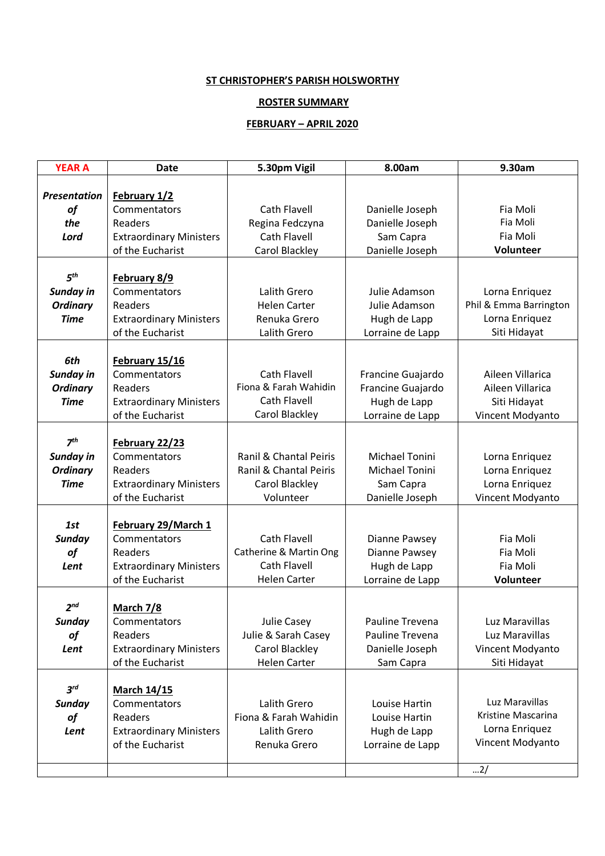### **ST CHRISTOPHER'S PARISH HOLSWORTHY**

### **ROSTER SUMMARY**

## **FEBRUARY – APRIL 2020**

| <b>YEAR A</b>       | <b>Date</b>                                        | 5.30pm Vigil           | 8.00am                           | 9.30am                 |
|---------------------|----------------------------------------------------|------------------------|----------------------------------|------------------------|
|                     |                                                    |                        |                                  |                        |
| <b>Presentation</b> | February 1/2                                       |                        |                                  |                        |
| of                  | Commentators                                       | <b>Cath Flavell</b>    | Danielle Joseph                  | Fia Moli               |
| the                 | Readers                                            | Regina Fedczyna        | Danielle Joseph                  | Fia Moli               |
| Lord                | <b>Extraordinary Ministers</b>                     | <b>Cath Flavell</b>    | Sam Capra                        | Fia Moli               |
|                     | of the Eucharist                                   | Carol Blackley         | Danielle Joseph                  | Volunteer              |
|                     |                                                    |                        |                                  |                        |
| 5 <sup>th</sup>     | February 8/9                                       |                        |                                  |                        |
| Sunday in           | Commentators                                       | Lalith Grero           | Julie Adamson                    | Lorna Enriquez         |
| <b>Ordinary</b>     | Readers                                            | <b>Helen Carter</b>    | Julie Adamson                    | Phil & Emma Barrington |
| <b>Time</b>         | <b>Extraordinary Ministers</b>                     | Renuka Grero           | Hugh de Lapp                     | Lorna Enriquez         |
|                     | of the Eucharist                                   | Lalith Grero           | Lorraine de Lapp                 | Siti Hidayat           |
|                     |                                                    |                        |                                  |                        |
| 6th                 | February 15/16                                     |                        |                                  |                        |
| Sunday in           | Commentators                                       | <b>Cath Flavell</b>    | Francine Guajardo                | Aileen Villarica       |
| <b>Ordinary</b>     | Readers                                            | Fiona & Farah Wahidin  | Francine Guajardo                | Aileen Villarica       |
| <b>Time</b>         | <b>Extraordinary Ministers</b>                     | Cath Flavell           | Hugh de Lapp                     | Siti Hidayat           |
|                     | of the Eucharist                                   | Carol Blackley         | Lorraine de Lapp                 | Vincent Modyanto       |
|                     |                                                    |                        |                                  |                        |
| 7 <sup>th</sup>     | February 22/23                                     |                        |                                  |                        |
| Sunday in           | Commentators                                       | Ranil & Chantal Peiris | Michael Tonini                   | Lorna Enriquez         |
| <b>Ordinary</b>     | Readers                                            | Ranil & Chantal Peiris | Michael Tonini                   | Lorna Enriquez         |
| <b>Time</b>         | <b>Extraordinary Ministers</b>                     | Carol Blackley         | Sam Capra                        | Lorna Enriquez         |
|                     | of the Eucharist                                   | Volunteer              | Danielle Joseph                  | Vincent Modyanto       |
|                     |                                                    |                        |                                  |                        |
| 1st                 | February 29/March 1                                |                        |                                  |                        |
| <b>Sunday</b>       | Commentators                                       | <b>Cath Flavell</b>    | Dianne Pawsey                    | Fia Moli               |
| of                  | Readers                                            | Catherine & Martin Ong | Dianne Pawsey                    | Fia Moli               |
| Lent                | <b>Extraordinary Ministers</b>                     | Cath Flavell           | Hugh de Lapp                     | Fia Moli               |
|                     | of the Eucharist                                   | <b>Helen Carter</b>    | Lorraine de Lapp                 | Volunteer              |
| 2 <sup>nd</sup>     |                                                    |                        |                                  |                        |
|                     | March 7/8                                          |                        | Pauline Trevena                  | Luz Maravillas         |
| <b>Sunday</b>       | Commentators                                       | <b>Julie Casey</b>     |                                  |                        |
| of                  | Readers                                            | Julie & Sarah Casey    | Pauline Trevena                  | Luz Maravillas         |
| Lent                | <b>Extraordinary Ministers</b>                     | Carol Blackley         | Danielle Joseph                  | Vincent Modyanto       |
|                     | of the Eucharist                                   | <b>Helen Carter</b>    | Sam Capra                        | Siti Hidayat           |
| $3^{rd}$            |                                                    |                        |                                  |                        |
|                     | <b>March 14/15</b><br>Commentators                 | Lalith Grero           | Louise Hartin                    | Luz Maravillas         |
| <b>Sunday</b>       | <b>Readers</b>                                     | Fiona & Farah Wahidin  | Louise Hartin                    | Kristine Mascarina     |
| of                  |                                                    | Lalith Grero           |                                  | Lorna Enriquez         |
| Lent                | <b>Extraordinary Ministers</b><br>of the Eucharist | Renuka Grero           | Hugh de Lapp<br>Lorraine de Lapp | Vincent Modyanto       |
|                     |                                                    |                        |                                  |                        |
|                     |                                                    |                        |                                  | 2/                     |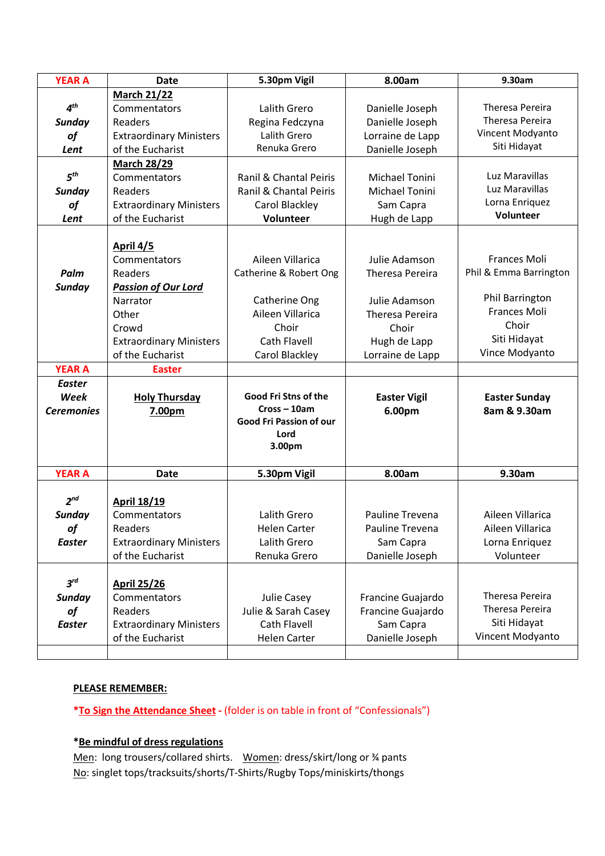| <b>YEAR A</b>     | <b>Date</b>                    | 5.30pm Vigil            | 8.00am                 | 9.30am                 |
|-------------------|--------------------------------|-------------------------|------------------------|------------------------|
|                   | <b>March 21/22</b>             |                         |                        |                        |
| 4 <sup>th</sup>   | Commentators                   | Lalith Grero            | Danielle Joseph        | Theresa Pereira        |
| <b>Sunday</b>     | Readers                        | Regina Fedczyna         | Danielle Joseph        | Theresa Pereira        |
| of                | <b>Extraordinary Ministers</b> | Lalith Grero            | Lorraine de Lapp       | Vincent Modyanto       |
| Lent              | of the Eucharist               | Renuka Grero            | Danielle Joseph        | Siti Hidayat           |
|                   | <b>March 28/29</b>             |                         |                        |                        |
| 5 <sup>th</sup>   | Commentators                   | Ranil & Chantal Peiris  | Michael Tonini         | Luz Maravillas         |
| <b>Sunday</b>     | Readers                        | Ranil & Chantal Peiris  | <b>Michael Tonini</b>  | Luz Maravillas         |
| of                | <b>Extraordinary Ministers</b> | Carol Blackley          | Sam Capra              | Lorna Enriquez         |
| Lent              | of the Eucharist               | Volunteer               | Hugh de Lapp           | Volunteer              |
|                   |                                |                         |                        |                        |
|                   | April 4/5                      |                         |                        |                        |
|                   | Commentators                   | Aileen Villarica        | Julie Adamson          | Frances Moli           |
| Palm              | Readers                        | Catherine & Robert Ong  | <b>Theresa Pereira</b> | Phil & Emma Barrington |
| <b>Sunday</b>     | <b>Passion of Our Lord</b>     |                         |                        |                        |
|                   | Narrator                       | Catherine Ong           | Julie Adamson          | Phil Barrington        |
|                   | Other                          | Aileen Villarica        | <b>Theresa Pereira</b> | Frances Moli           |
|                   | Crowd                          | Choir                   | Choir                  | Choir                  |
|                   | <b>Extraordinary Ministers</b> | Cath Flavell            | Hugh de Lapp           | Siti Hidayat           |
|                   | of the Eucharist               | Carol Blackley          | Lorraine de Lapp       | Vince Modyanto         |
| <b>YEAR A</b>     | <b>Easter</b>                  |                         |                        |                        |
| <b>Easter</b>     |                                |                         |                        |                        |
| Week              | <b>Holy Thursday</b>           | Good Fri Stns of the    | <b>Easter Vigil</b>    | <b>Easter Sunday</b>   |
| <b>Ceremonies</b> | 7.00pm                         | $Cross - 10am$          | 6.00pm                 | 8am & 9.30am           |
|                   |                                | Good Fri Passion of our |                        |                        |
|                   |                                | Lord<br>3.00pm          |                        |                        |
|                   |                                |                         |                        |                        |
| <b>YEAR A</b>     | <b>Date</b>                    | 5.30pm Vigil            | 8.00am                 | 9.30am                 |
|                   |                                |                         |                        |                        |
| 2 <sup>nd</sup>   | <b>April 18/19</b>             |                         |                        |                        |
| <b>Sunday</b>     | Commentators                   | Lalith Grero            | Pauline Trevena        | Aileen Villarica       |
| of                | Readers                        | <b>Helen Carter</b>     | Pauline Trevena        | Aileen Villarica       |
| <b>Easter</b>     | <b>Extraordinary Ministers</b> | Lalith Grero            | Sam Capra              | Lorna Enriquez         |
|                   | of the Eucharist               | Renuka Grero            | Danielle Joseph        | Volunteer              |
|                   |                                |                         |                        |                        |
| $3^{rd}$          | <b>April 25/26</b>             |                         |                        |                        |
| <b>Sunday</b>     | Commentators                   | Julie Casey             | Francine Guajardo      | Theresa Pereira        |
| of                | Readers                        | Julie & Sarah Casey     | Francine Guajardo      | Theresa Pereira        |
| <b>Easter</b>     | <b>Extraordinary Ministers</b> | Cath Flavell            | Sam Capra              | Siti Hidayat           |
|                   |                                |                         |                        |                        |
|                   | of the Eucharist               | <b>Helen Carter</b>     | Danielle Joseph        | Vincent Modyanto       |

# **PLEASE REMEMBER:**

**\*To Sign the Attendance Sheet -** (folder is on table in front of "Confessionals")

## **\*Be mindful of dress regulations**

Men: long trousers/collared shirts. Women: dress/skirt/long or % pants No: singlet tops/tracksuits/shorts/T-Shirts/Rugby Tops/miniskirts/thongs